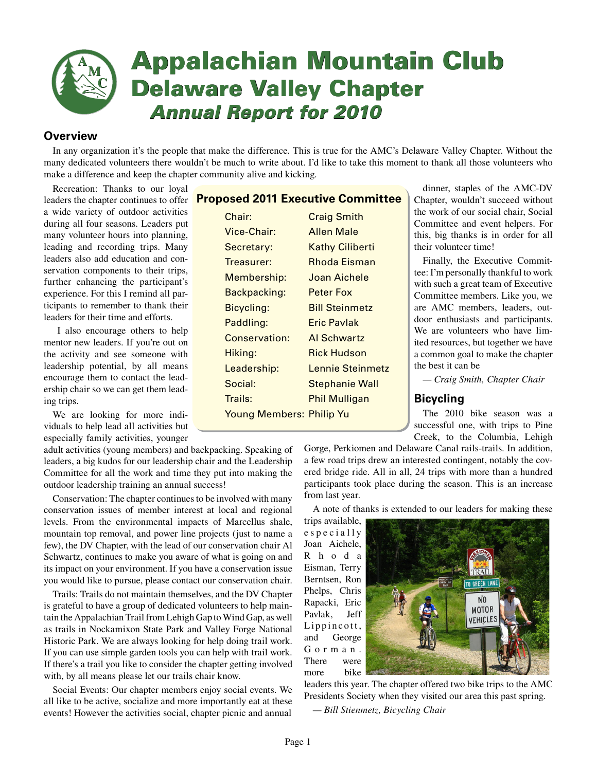

# **Appalachian Mountain Club Appalachian Mountain Club Delaware Valley Chapter Delaware Valley Chapter** *Annual Report for 2010*  *Annual Report for 2010*

# **Overview**

In any organization it's the people that make the difference. This is true for the AMC's Delaware Valley Chapter. Without the many dedicated volunteers there wouldn't be much to write about. I'd like to take this moment to thank all those volunteers who make a difference and keep the chapter community alive and kicking.

Recreation: Thanks to our loyal leaders the chapter continues to offer a wide variety of outdoor activities during all four seasons. Leaders put many volunteer hours into planning, leading and recording trips. Many leaders also add education and conservation components to their trips, further enhancing the participant's experience. For this I remind all participants to remember to thank their leaders for their time and efforts.

 I also encourage others to help mentor new leaders. If you're out on the activity and see someone with leadership potential, by all means encourage them to contact the leadership chair so we can get them leading trips.

We are looking for more individuals to help lead all activities but especially family activities, younger

adult activities (young members) and backpacking. Speaking of leaders, a big kudos for our leadership chair and the Leadership Committee for all the work and time they put into making the outdoor leadership training an annual success!

Conservation: The chapter continues to be involved with many conservation issues of member interest at local and regional levels. From the environmental impacts of Marcellus shale, mountain top removal, and power line projects (just to name a few), the DV Chapter, with the lead of our conservation chair Al Schwartz, continues to make you aware of what is going on and its impact on your environment. If you have a conservation issue you would like to pursue, please contact our conservation chair.

Trails: Trails do not maintain themselves, and the DV Chapter is grateful to have a group of dedicated volunteers to help maintain the Appalachian Trail from Lehigh Gap to Wind Gap, as well as trails in Nockamixon State Park and Valley Forge National Historic Park. We are always looking for help doing trail work. If you can use simple garden tools you can help with trail work. If there's a trail you like to consider the chapter getting involved with, by all means please let our trails chair know.

Social Events: Our chapter members enjoy social events. We all like to be active, socialize and more importantly eat at these events! However the activities social, chapter picnic and annual

# **Proposed 2011 Executive Committee**

| Chair:                          | <b>Craig Smith</b>     |
|---------------------------------|------------------------|
| Vice-Chair:                     | <b>Allen Male</b>      |
| Secretary:                      | <b>Kathy Ciliberti</b> |
| Treasurer:                      | Rhoda Eisman           |
| Membership:                     | Joan Aichele           |
| Backpacking:                    | Peter Fox              |
| Bicycling:                      | <b>Bill Steinmetz</b>  |
| Paddling:                       | Eric Pavlak            |
| <b>Conservation:</b>            | Al Schwartz            |
| Hiking:                         | <b>Rick Hudson</b>     |
| Leadership:                     | Lennie Steinmetz       |
| Social:                         | <b>Stephanie Wall</b>  |
| Trails:                         | Phil Mulligan          |
| <b>Young Members: Philip Yu</b> |                        |
|                                 |                        |

dinner, staples of the AMC-DV Chapter, wouldn't succeed without the work of our social chair, Social Committee and event helpers. For this, big thanks is in order for all their volunteer time!

Finally, the Executive Committee: I'm personally thankful to work with such a great team of Executive Committee members. Like you, we are AMC members, leaders, outdoor enthusiasts and participants. We are volunteers who have limited resources, but together we have a common goal to make the chapter the best it can be

*— Craig Smith, Chapter Chair*

# **Bicycling**

The 2010 bike season was a successful one, with trips to Pine Creek, to the Columbia, Lehigh

Gorge, Perkiomen and Delaware Canal rails-trails. In addition, a few road trips drew an interested contingent, notably the covered bridge ride. All in all, 24 trips with more than a hundred participants took place during the season. This is an increase from last year.

A note of thanks is extended to our leaders for making these

trips available, e s p e c i a l l y Joan Aichele, R h o d a Eisman, Terry Berntsen, Ron Phelps, Chris Rapacki, Eric Pavlak, Jeff Lippincott, and George G o r m a n . There were more bike



leaders this year. The chapter offered two bike trips to the AMC Presidents Society when they visited our area this past spring.

*— Bill Stienmetz, Bicycling Chair*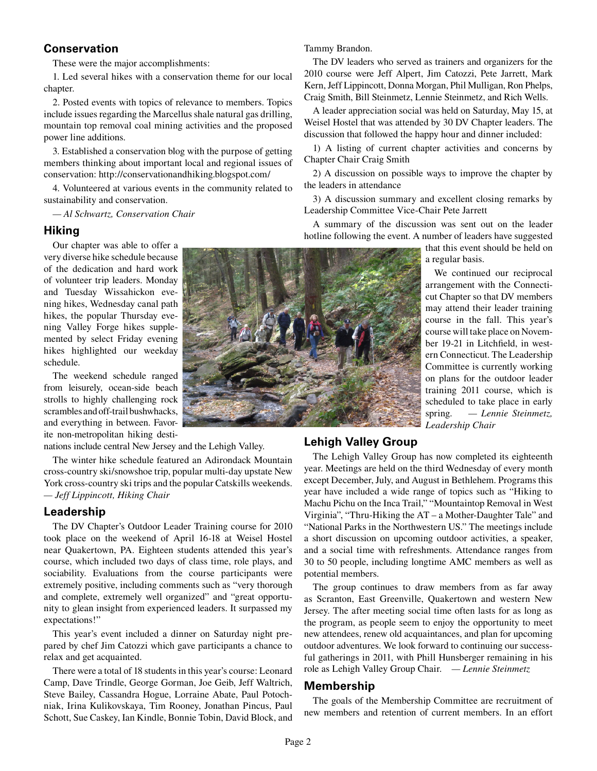# **Conservation**

These were the major accomplishments:

1. Led several hikes with a conservation theme for our local chapter.

2. Posted events with topics of relevance to members. Topics include issues regarding the Marcellus shale natural gas drilling, mountain top removal coal mining activities and the proposed power line additions.

3. Established a conservation blog with the purpose of getting members thinking about important local and regional issues of conservation: http://conservationandhiking.blogspot.com/

4. Volunteered at various events in the community related to sustainability and conservation.

*— Al Schwartz, Conservation Chair*

## **Hiking**

Our chapter was able to offer a very diverse hike schedule because of the dedication and hard work of volunteer trip leaders. Monday and Tuesday Wissahickon evening hikes, Wednesday canal path hikes, the popular Thursday evening Valley Forge hikes supplemented by select Friday evening hikes highlighted our weekday schedule.

The weekend schedule ranged from leisurely, ocean-side beach strolls to highly challenging rock scrambles and off-trail bushwhacks, and everything in between. Favorite non-metropolitan hiking desti-

nations include central New Jersey and the Lehigh Valley.

The winter hike schedule featured an Adirondack Mountain cross-country ski/snowshoe trip, popular multi-day upstate New York cross-country ski trips and the popular Catskills weekends. *— Jeff Lippincott, Hiking Chair*

## **Leadership**

The DV Chapter's Outdoor Leader Training course for 2010 took place on the weekend of April 16-18 at Weisel Hostel near Quakertown, PA. Eighteen students attended this year's course, which included two days of class time, role plays, and sociability. Evaluations from the course participants were extremely positive, including comments such as "very thorough and complete, extremely well organized" and "great opportunity to glean insight from experienced leaders. It surpassed my expectations!"

This year's event included a dinner on Saturday night prepared by chef Jim Catozzi which gave participants a chance to relax and get acquainted.

There were a total of 18 students in this year's course: Leonard Camp, Dave Trindle, George Gorman, Joe Geib, Jeff Waltrich, Steve Bailey, Cassandra Hogue, Lorraine Abate, Paul Potochniak, Irina Kulikovskaya, Tim Rooney, Jonathan Pincus, Paul Schott, Sue Caskey, Ian Kindle, Bonnie Tobin, David Block, and

Tammy Brandon.

The DV leaders who served as trainers and organizers for the 2010 course were Jeff Alpert, Jim Catozzi, Pete Jarrett, Mark Kern, Jeff Lippincott, Donna Morgan, Phil Mulligan, Ron Phelps, Craig Smith, Bill Steinmetz, Lennie Steinmetz, and Rich Wells.

A leader appreciation social was held on Saturday, May 15, at Weisel Hostel that was attended by 30 DV Chapter leaders. The discussion that followed the happy hour and dinner included:

1) A listing of current chapter activities and concerns by Chapter Chair Craig Smith

2) A discussion on possible ways to improve the chapter by the leaders in attendance

3) A discussion summary and excellent closing remarks by Leadership Committee Vice-Chair Pete Jarrett

A summary of the discussion was sent out on the leader hotline following the event. A number of leaders have suggested

that this event should be held on a regular basis.

We continued our reciprocal arrangement with the Connecticut Chapter so that DV members may attend their leader training course in the fall. This year's course will take place on November 19-21 in Litchfield, in western Connecticut. The Leadership Committee is currently working on plans for the outdoor leader training 2011 course, which is scheduled to take place in early spring. *— Lennie Steinmetz, Leadership Chair*

# **Lehigh Valley Group**

The Lehigh Valley Group has now completed its eighteenth year. Meetings are held on the third Wednesday of every month except December, July, and August in Bethlehem. Programs this year have included a wide range of topics such as "Hiking to Machu Pichu on the Inca Trail," "Mountaintop Removal in West Virginia", "Thru-Hiking the AT – a Mother-Daughter Tale" and "National Parks in the Northwestern US." The meetings include a short discussion on upcoming outdoor activities, a speaker, and a social time with refreshments. Attendance ranges from 30 to 50 people, including longtime AMC members as well as potential members.

The group continues to draw members from as far away as Scranton, East Greenville, Quakertown and western New Jersey. The after meeting social time often lasts for as long as the program, as people seem to enjoy the opportunity to meet new attendees, renew old acquaintances, and plan for upcoming outdoor adventures. We look forward to continuing our successful gatherings in 2011, with Phill Hunsberger remaining in his role as Lehigh Valley Group Chair. *— Lennie Steinmetz*

## **Membership**

The goals of the Membership Committee are recruitment of new members and retention of current members. In an effort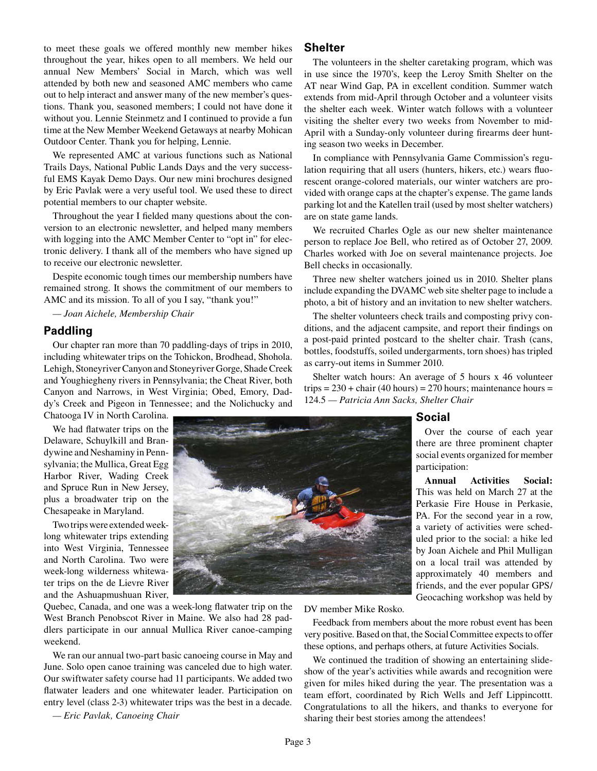to meet these goals we offered monthly new member hikes throughout the year, hikes open to all members. We held our annual New Members' Social in March, which was well attended by both new and seasoned AMC members who came out to help interact and answer many of the new member's questions. Thank you, seasoned members; I could not have done it without you. Lennie Steinmetz and I continued to provide a fun time at the New Member Weekend Getaways at nearby Mohican Outdoor Center. Thank you for helping, Lennie.

We represented AMC at various functions such as National Trails Days, National Public Lands Days and the very successful EMS Kayak Demo Days. Our new mini brochures designed by Eric Pavlak were a very useful tool. We used these to direct potential members to our chapter website.

Throughout the year I fielded many questions about the conversion to an electronic newsletter, and helped many members with logging into the AMC Member Center to "opt in" for electronic delivery. I thank all of the members who have signed up to receive our electronic newsletter.

Despite economic tough times our membership numbers have remained strong. It shows the commitment of our members to AMC and its mission. To all of you I say, "thank you!"

*— Joan Aichele, Membership Chair*

#### **Paddling**

Our chapter ran more than 70 paddling-days of trips in 2010, including whitewater trips on the Tohickon, Brodhead, Shohola. Lehigh, Stoneyriver Canyon and Stoneyriver Gorge, Shade Creek and Youghiegheny rivers in Pennsylvania; the Cheat River, both Canyon and Narrows, in West Virginia; Obed, Emory, Daddy's Creek and Pigeon in Tennessee; and the Nolichucky and

Chatooga IV in North Carolina.

We had flatwater trips on the Delaware, Schuylkill and Brandywine and Neshaminy in Pennsylvania; the Mullica, Great Egg Harbor River, Wading Creek and Spruce Run in New Jersey, plus a broadwater trip on the Chesapeake in Maryland.

Two trips were extended weeklong whitewater trips extending into West Virginia, Tennessee and North Carolina. Two were week-long wilderness whitewater trips on the de Lievre River and the Ashuapmushuan River,

Quebec, Canada, and one was a week-long flatwater trip on the West Branch Penobscot River in Maine. We also had 28 paddlers participate in our annual Mullica River canoe-camping weekend.

We ran our annual two-part basic canoeing course in May and June. Solo open canoe training was canceled due to high water. Our swiftwater safety course had 11 participants. We added two flatwater leaders and one whitewater leader. Participation on entry level (class 2-3) whitewater trips was the best in a decade.

*— Eric Pavlak, Canoeing Chair*

# **Shelter**

The volunteers in the shelter caretaking program, which was in use since the 1970's, keep the Leroy Smith Shelter on the AT near Wind Gap, PA in excellent condition. Summer watch extends from mid-April through October and a volunteer visits the shelter each week. Winter watch follows with a volunteer visiting the shelter every two weeks from November to mid-April with a Sunday-only volunteer during firearms deer hunting season two weeks in December.

In compliance with Pennsylvania Game Commission's regulation requiring that all users (hunters, hikers, etc.) wears fluorescent orange-colored materials, our winter watchers are provided with orange caps at the chapter's expense. The game lands parking lot and the Katellen trail (used by most shelter watchers) are on state game lands.

We recruited Charles Ogle as our new shelter maintenance person to replace Joe Bell, who retired as of October 27, 2009. Charles worked with Joe on several maintenance projects. Joe Bell checks in occasionally.

Three new shelter watchers joined us in 2010. Shelter plans include expanding the DVAMC web site shelter page to include a photo, a bit of history and an invitation to new shelter watchers.

The shelter volunteers check trails and composting privy conditions, and the adjacent campsite, and report their findings on a post-paid printed postcard to the shelter chair. Trash (cans, bottles, foodstuffs, soiled undergarments, torn shoes) has tripled as carry-out items in Summer 2010.

Shelter watch hours: An average of 5 hours x 46 volunteer trips =  $230 + \text{chair} (40 \text{ hours}) = 270 \text{ hours}$ ; maintenance hours = 124.5 *— Patricia Ann Sacks, Shelter Chair*

## **Social**

Over the course of each year there are three prominent chapter social events organized for member participation:

**Annual Activities Social:** This was held on March 27 at the Perkasie Fire House in Perkasie, PA. For the second year in a row, a variety of activities were scheduled prior to the social: a hike led by Joan Aichele and Phil Mulligan on a local trail was attended by approximately 40 members and friends, and the ever popular GPS/ Geocaching workshop was held by

DV member Mike Rosko.

Feedback from members about the more robust event has been very positive. Based on that, the Social Committee expects to offer these options, and perhaps others, at future Activities Socials.

We continued the tradition of showing an entertaining slideshow of the year's activities while awards and recognition were given for miles hiked during the year. The presentation was a team effort, coordinated by Rich Wells and Jeff Lippincottt. Congratulations to all the hikers, and thanks to everyone for sharing their best stories among the attendees!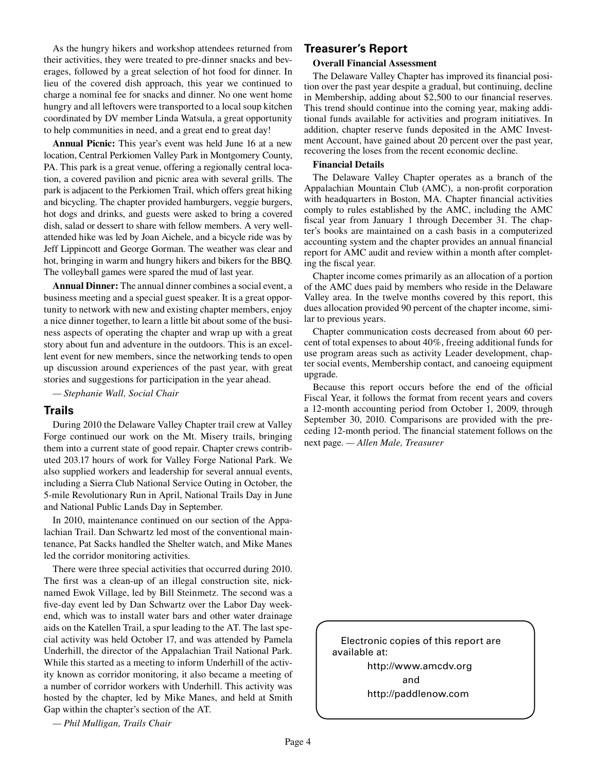As the hungry hikers and workshop attendees returned from their activities, they were treated to pre-dinner snacks and beverages, followed by a great selection of hot food for dinner. In lieu of the covered dish approach, this year we continued to charge a nominal fee for snacks and dinner. No one went home hungry and all leftovers were transported to a local soup kitchen coordinated by DV member Linda Watsula, a great opportunity to help communities in need, and a great end to great day!

**Annual Picnic:** This year's event was held June 16 at a new location, Central Perkiomen Valley Park in Montgomery County, PA. This park is a great venue, offering a regionally central location, a covered pavilion and picnic area with several grills. The park is adjacent to the Perkiomen Trail, which offers great hiking and bicycling. The chapter provided hamburgers, veggie burgers, hot dogs and drinks, and guests were asked to bring a covered dish, salad or dessert to share with fellow members. A very wellattended hike was led by Joan Aichele, and a bicycle ride was by Jeff Lippincott and George Gorman. The weather was clear and hot, bringing in warm and hungry hikers and bikers for the BBQ. The volleyball games were spared the mud of last year.

**Annual Dinner:** The annual dinner combines a social event, a business meeting and a special guest speaker. It is a great opportunity to network with new and existing chapter members, enjoy a nice dinner together, to learn a little bit about some of the business aspects of operating the chapter and wrap up with a great story about fun and adventure in the outdoors. This is an excellent event for new members, since the networking tends to open up discussion around experiences of the past year, with great stories and suggestions for participation in the year ahead.

*— Stephanie Wall, Social Chair*

#### **Trails**

During 2010 the Delaware Valley Chapter trail crew at Valley Forge continued our work on the Mt. Misery trails, bringing them into a current state of good repair. Chapter crews contributed 203.17 hours of work for Valley Forge National Park. We also supplied workers and leadership for several annual events, including a Sierra Club National Service Outing in October, the 5-mile Revolutionary Run in April, National Trails Day in June and National Public Lands Day in September.

In 2010, maintenance continued on our section of the Appalachian Trail. Dan Schwartz led most of the conventional maintenance, Pat Sacks handled the Shelter watch, and Mike Manes led the corridor monitoring activities.

There were three special activities that occurred during 2010. The first was a clean-up of an illegal construction site, nicknamed Ewok Village, led by Bill Steinmetz. The second was a five-day event led by Dan Schwartz over the Labor Day weekend, which was to install water bars and other water drainage aids on the Katellen Trail, a spur leading to the AT. The last special activity was held October 17, and was attended by Pamela Underhill, the director of the Appalachian Trail National Park. While this started as a meeting to inform Underhill of the activity known as corridor monitoring, it also became a meeting of a number of corridor workers with Underhill. This activity was hosted by the chapter, led by Mike Manes, and held at Smith Gap within the chapter's section of the AT.

#### *— Phil Mulligan, Trails Chair*

## **Treasurer's Report**

#### **Overall Financial Assessment**

The Delaware Valley Chapter has improved its financial position over the past year despite a gradual, but continuing, decline in Membership, adding about \$2,500 to our financial reserves. This trend should continue into the coming year, making additional funds available for activities and program initiatives. In addition, chapter reserve funds deposited in the AMC Investment Account, have gained about 20 percent over the past year, recovering the loses from the recent economic decline.

#### **Financial Details**

The Delaware Valley Chapter operates as a branch of the Appalachian Mountain Club (AMC), a non-profit corporation with headquarters in Boston, MA. Chapter financial activities comply to rules established by the AMC, including the AMC fiscal year from January 1 through December 31. The chapter's books are maintained on a cash basis in a computerized accounting system and the chapter provides an annual financial report for AMC audit and review within a month after completing the fiscal year.

Chapter income comes primarily as an allocation of a portion of the AMC dues paid by members who reside in the Delaware Valley area. In the twelve months covered by this report, this dues allocation provided 90 percent of the chapter income, similar to previous years.

Chapter communication costs decreased from about 60 percent of total expenses to about 40%, freeing additional funds for use program areas such as activity Leader development, chapter social events, Membership contact, and canoeing equipment upgrade.

Because this report occurs before the end of the official Fiscal Year, it follows the format from recent years and covers a 12-month accounting period from October 1, 2009, through September 30, 2010. Comparisons are provided with the preceding 12-month period. The financial statement follows on the next page. *— Allen Male, Treasurer*

> Electronic copies of this report are available at: http://www.amcdv.org

> > and http://paddlenow.com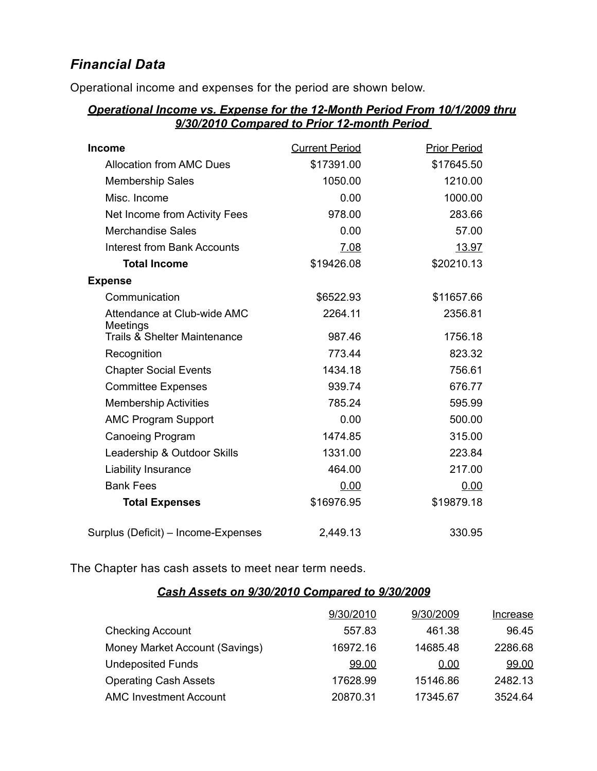# *Financial Data*

Operational income and expenses for the period are shown below.

# *Operational Income vs. Expense for the 12-Month Period From 10/1/2009 thru 9/30/2010 Compared to Prior 12-month Period*

| <b>Income</b>                           | <b>Current Period</b> | <b>Prior Period</b> |
|-----------------------------------------|-----------------------|---------------------|
| <b>Allocation from AMC Dues</b>         | \$17391.00            | \$17645.50          |
| <b>Membership Sales</b>                 | 1050.00               | 1210.00             |
| Misc. Income                            | 0.00                  | 1000.00             |
| Net Income from Activity Fees           | 978.00                | 283.66              |
| <b>Merchandise Sales</b>                | 0.00                  | 57.00               |
| <b>Interest from Bank Accounts</b>      | 7.08                  | 13.97               |
| <b>Total Income</b>                     | \$19426.08            | \$20210.13          |
| <b>Expense</b>                          |                       |                     |
| Communication                           | \$6522.93             | \$11657.66          |
| Attendance at Club-wide AMC<br>Meetings | 2264.11               | 2356.81             |
| Trails & Shelter Maintenance            | 987.46                | 1756.18             |
| Recognition                             | 773.44                | 823.32              |
| <b>Chapter Social Events</b>            | 1434.18               | 756.61              |
| <b>Committee Expenses</b>               | 939.74                | 676.77              |
| <b>Membership Activities</b>            | 785.24                | 595.99              |
| <b>AMC Program Support</b>              | 0.00                  | 500.00              |
| <b>Canoeing Program</b>                 | 1474.85               | 315.00              |
| Leadership & Outdoor Skills             | 1331.00               | 223.84              |
| Liability Insurance                     | 464.00                | 217.00              |
| <b>Bank Fees</b>                        | 0.00                  | 0.00                |
| <b>Total Expenses</b>                   | \$16976.95            | \$19879.18          |
| Surplus (Deficit) - Income-Expenses     | 2,449.13              | 330.95              |

The Chapter has cash assets to meet near term needs.

# *Cash Assets on 9/30/2010 Compared to 9/30/2009*

|                                | 9/30/2010 | 9/30/2009 | <b>Increase</b> |
|--------------------------------|-----------|-----------|-----------------|
| <b>Checking Account</b>        | 557.83    | 461.38    | 96.45           |
| Money Market Account (Savings) | 16972.16  | 14685.48  | 2286.68         |
| <b>Undeposited Funds</b>       | 99.00     | 0.00      | 99.00           |
| <b>Operating Cash Assets</b>   | 17628.99  | 15146.86  | 2482.13         |
| <b>AMC Investment Account</b>  | 20870.31  | 17345.67  | 3524.64         |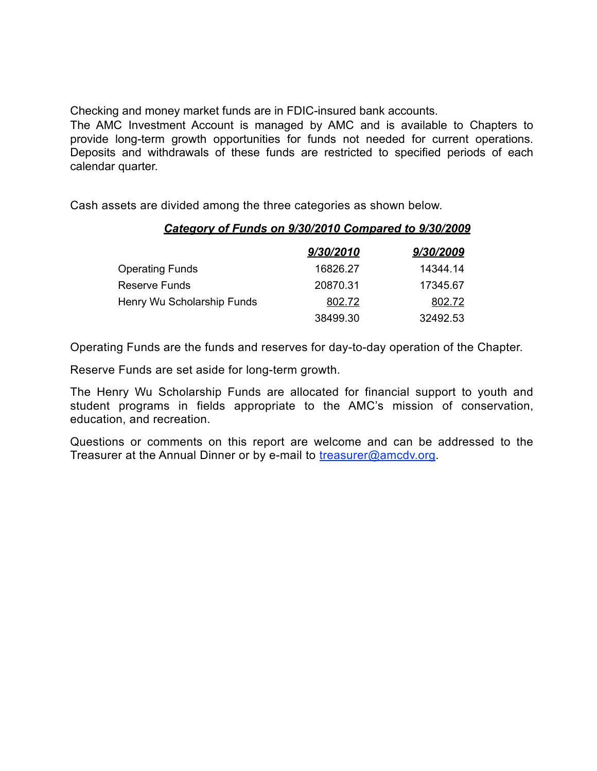Checking and money market funds are in FDIC-insured bank accounts.

The AMC Investment Account is managed by AMC and is available to Chapters to provide long-term growth opportunities for funds not needed for current operations. Deposits and withdrawals of these funds are restricted to specified periods of each calendar quarter.

Cash assets are divided among the three categories as shown below.

# *Category of Funds on 9/30/2010 Compared to 9/30/2009*

|                            | 9/30/2010 | 9/30/2009 |
|----------------------------|-----------|-----------|
| Operating Funds            | 16826.27  | 14344.14  |
| Reserve Funds              | 20870.31  | 17345.67  |
| Henry Wu Scholarship Funds | 802.72    | 802.72    |
|                            | 38499.30  | 32492.53  |

Operating Funds are the funds and reserves for day-to-day operation of the Chapter.

Reserve Funds are set aside for long-term growth.

The Henry Wu Scholarship Funds are allocated for financial support to youth and student programs in fields appropriate to the AMC's mission of conservation, education, and recreation.

Questions or comments on this report are welcome and can be addressed to the Treasurer at the Annual Dinner or by e-mail to [treasurer@amcdv.org.](mailto:treasurer@amcdv.org)